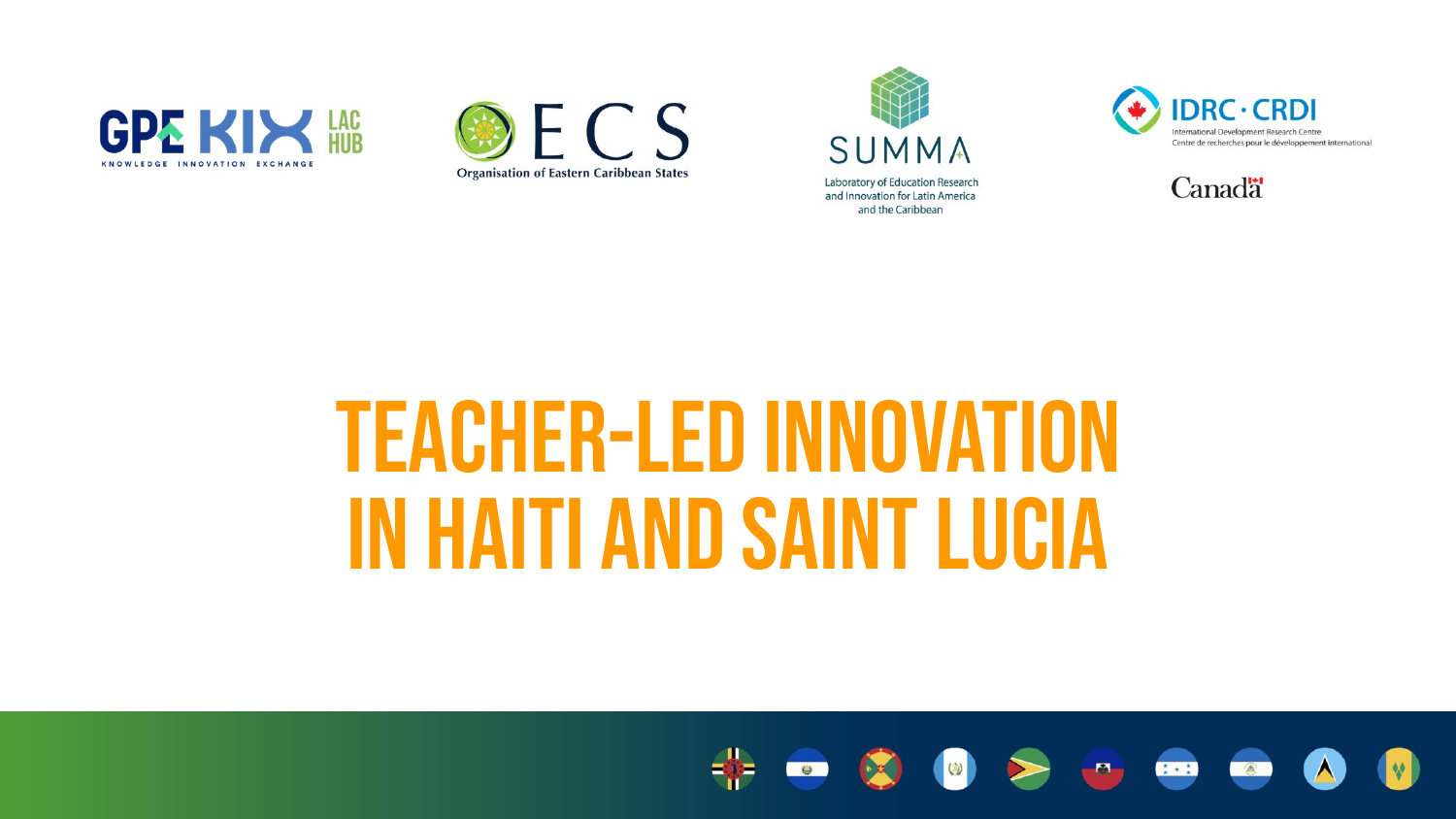









### teacher-led innovation in Haiti and Saint Lucia

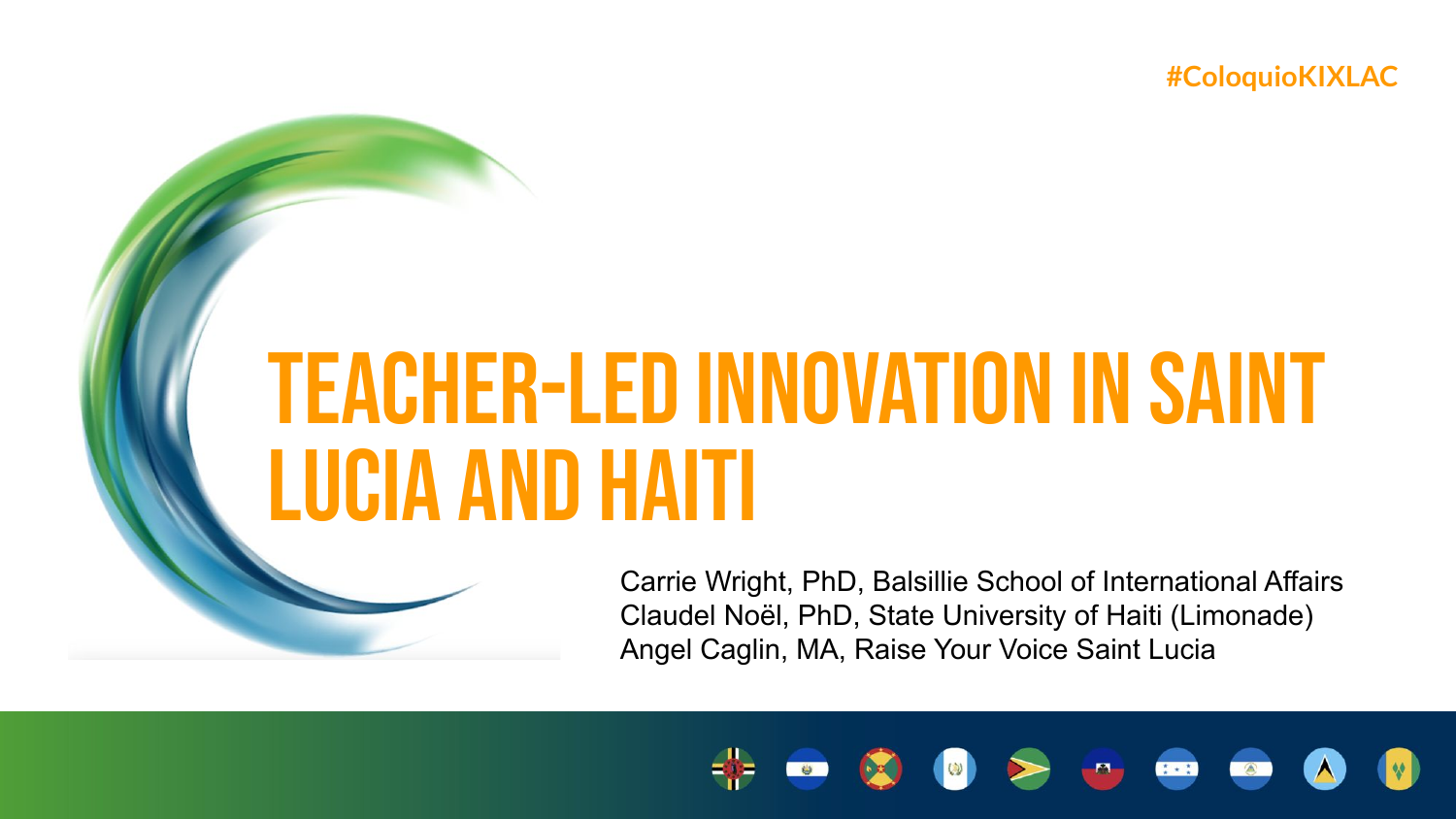**#ColoquioKIXLAC**

## teacher-led innovation in saint lucia and Haiti

Carrie Wright, PhD, Balsillie School of International Affairs Claudel Noël, PhD, State University of Haiti (Limonade) Angel Caglin, MA, Raise Your Voice Saint Lucia

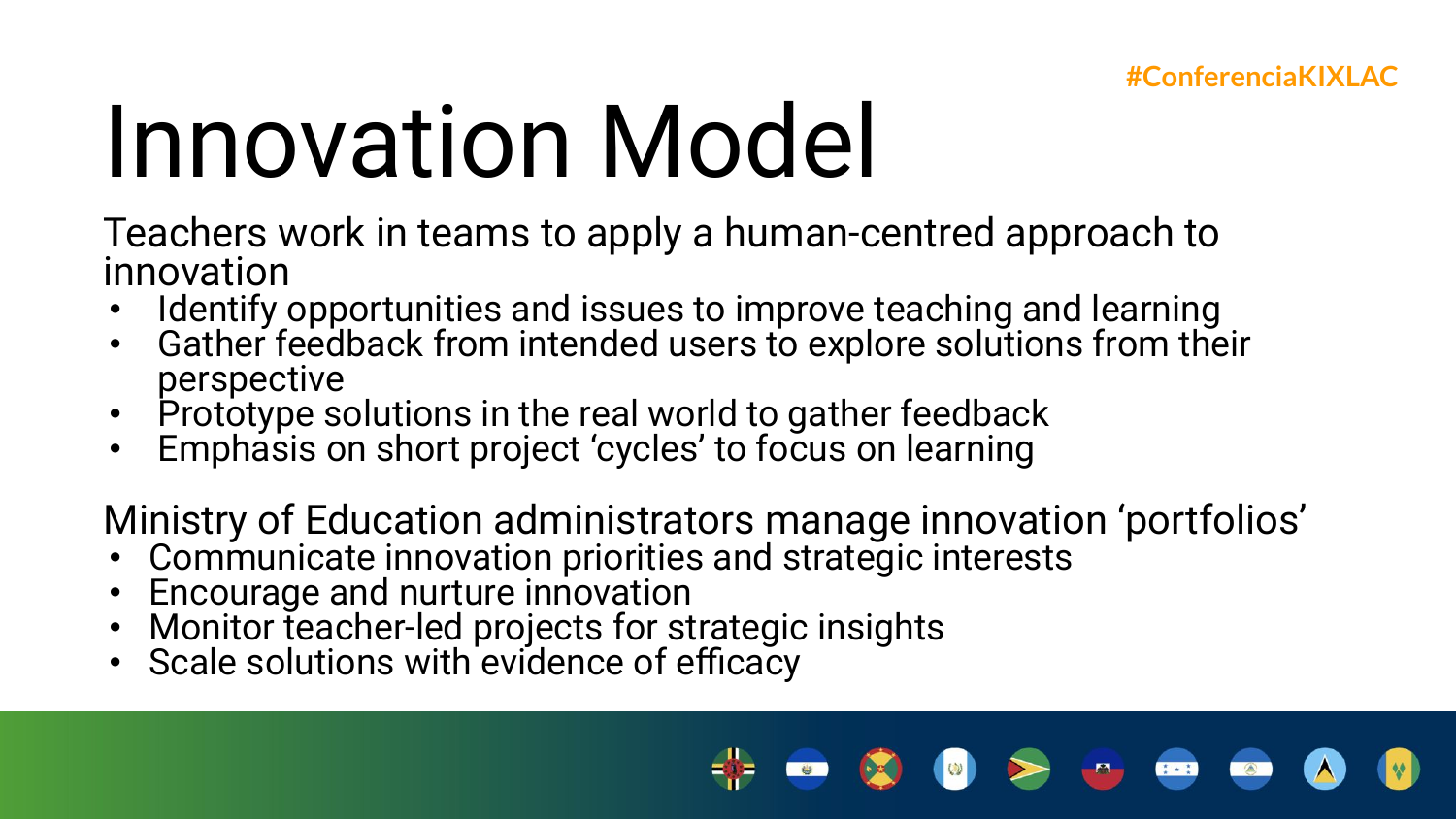## Innovation Model

Teachers work in teams to apply a human-centred approach to innovation

- Identify opportunities and issues to improve teaching and learning
- Gather feedback from intended users to explore solutions from their perspective
- Prototype solutions in the real world to gather feedback
- Emphasis on short project 'cycles' to focus on learning

Ministry of Education administrators manage innovation 'portfolios'

- Communicate innovation priorities and strategic interests
- Encourage and nurture innovation
- Monitor teacher-led projects for strategic insights
- Scale solutions with evidence of efficacy

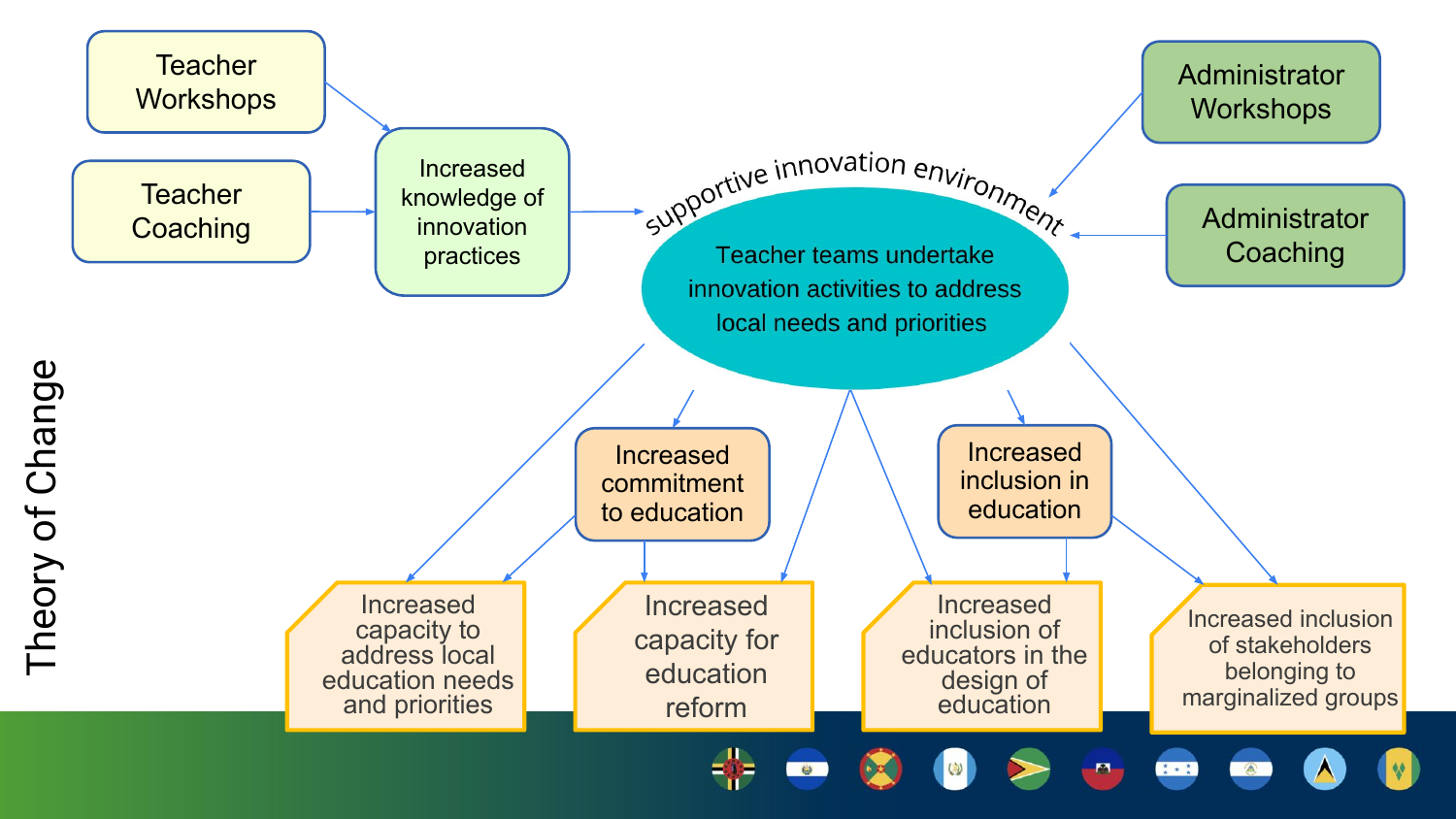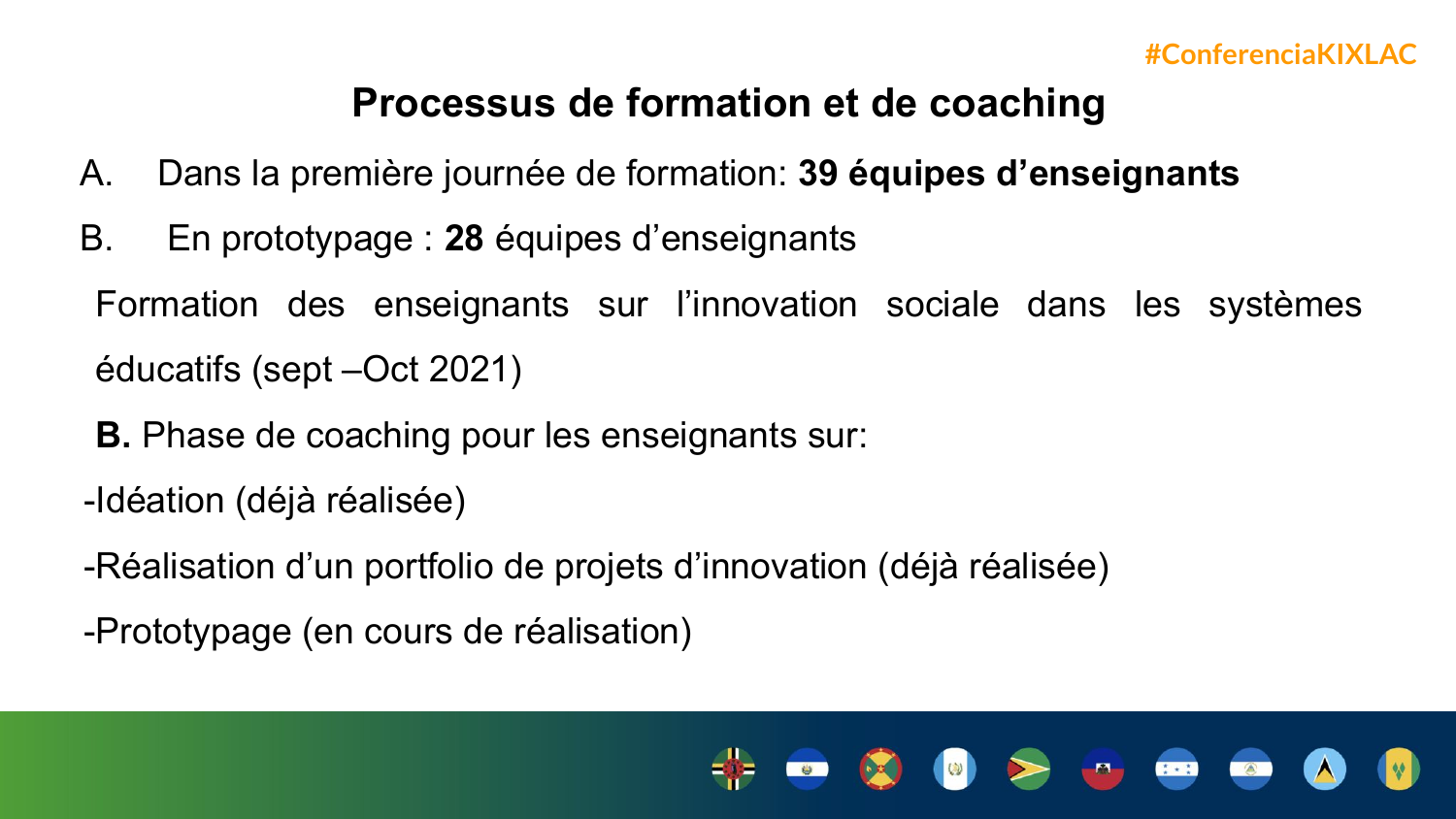#### **Processus de formation et de coaching**

- A. Dans la première journée de formation: **39 équipes d'enseignants**
- B. En prototypage : **28** équipes d'enseignants

Formation des enseignants sur l'innovation sociale dans les systèmes éducatifs (sept –Oct 2021)

- **B.** Phase de coaching pour les enseignants sur:
- -Idéation (déjà réalisée)
- -Réalisation d'un portfolio de projets d'innovation (déjà réalisée)
- -Prototypage (en cours de réalisation)

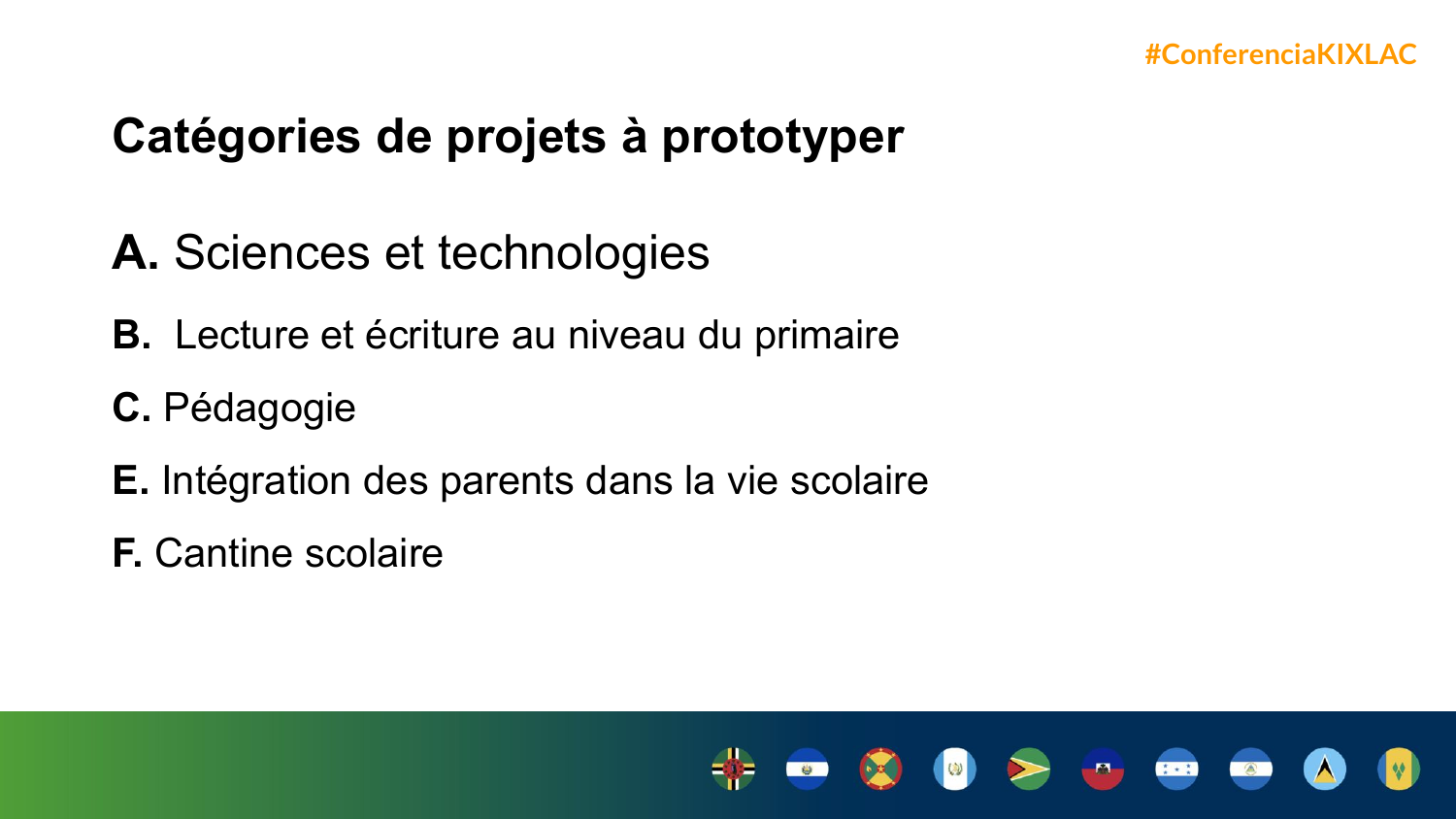### **Catégories de projets à prototyper**

- **A.** Sciences et technologies
- **B.** Lecture et écriture au niveau du primaire
- **C.** Pédagogie
- **E.** Intégration des parents dans la vie scolaire
- **F.** Cantine scolaire

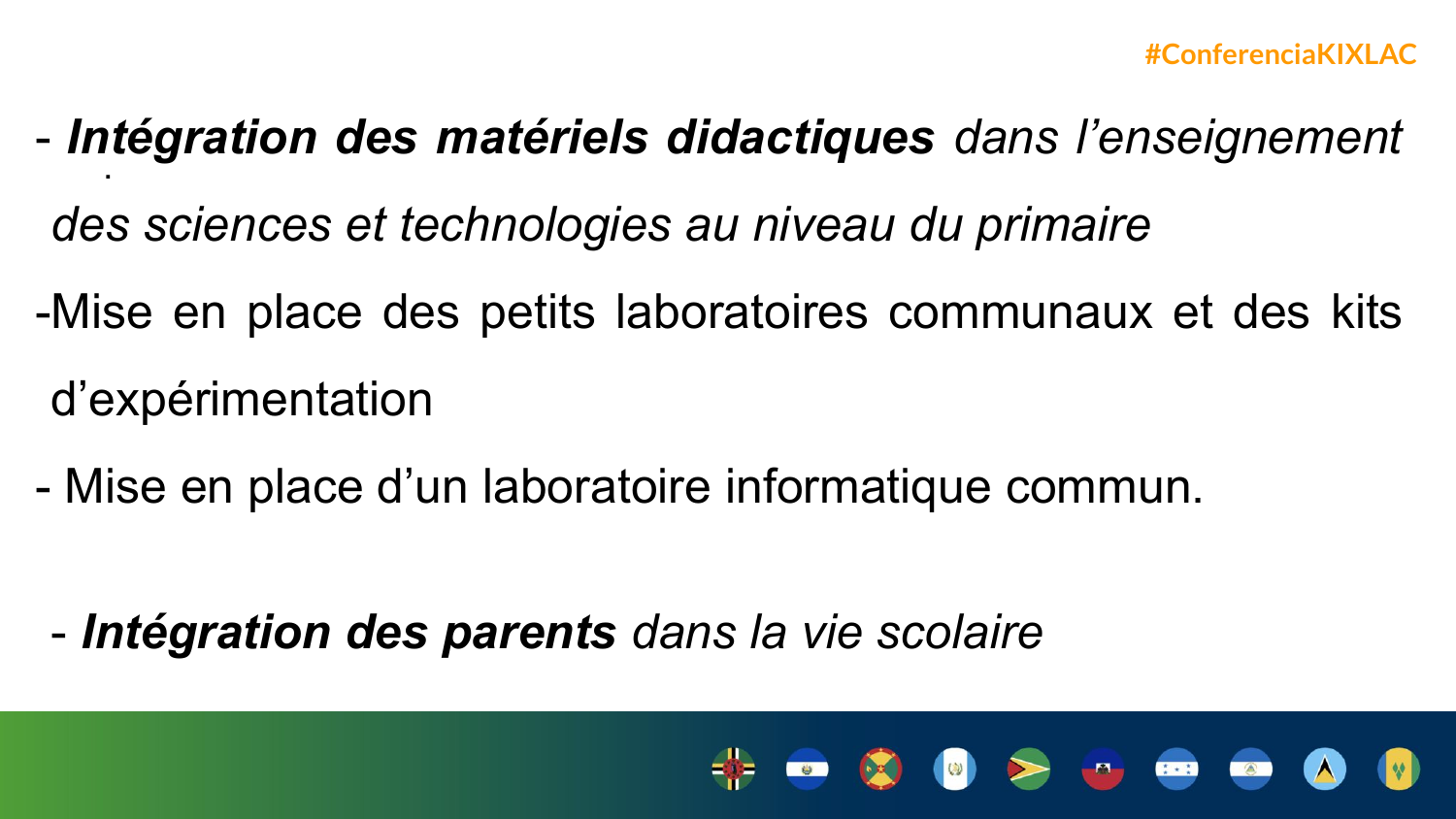- .<br>. - *Intégration des matériels didactiques dans l'enseignement* 
	- *des sciences et technologies au niveau du primaire*
- -Mise en place des petits laboratoires communaux et des kits d'expérimentation
- Mise en place d'un laboratoire informatique commun.

- *Intégration des parents dans la vie scolaire*